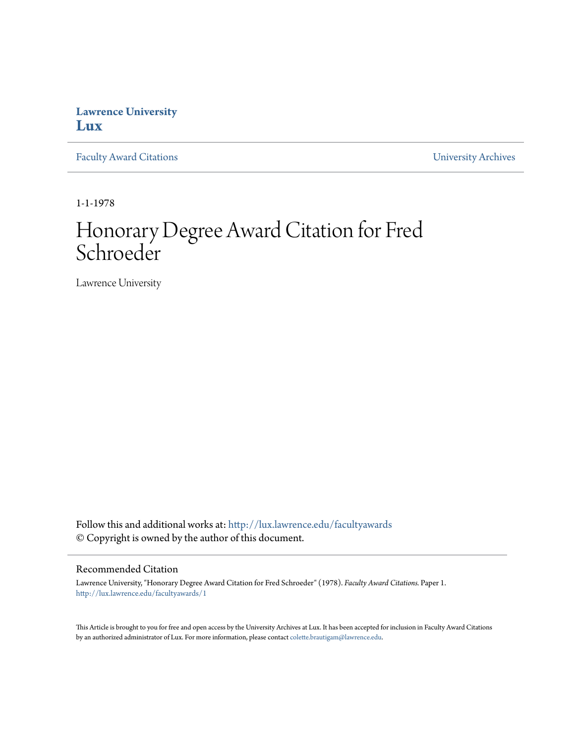## **Lawrence University [Lux](http://lux.lawrence.edu?utm_source=lux.lawrence.edu%2Ffacultyawards%2F1&utm_medium=PDF&utm_campaign=PDFCoverPages)**

[Faculty Award Citations](http://lux.lawrence.edu/facultyawards?utm_source=lux.lawrence.edu%2Ffacultyawards%2F1&utm_medium=PDF&utm_campaign=PDFCoverPages) **Example 2018** [University Archives](http://lux.lawrence.edu/archives?utm_source=lux.lawrence.edu%2Ffacultyawards%2F1&utm_medium=PDF&utm_campaign=PDFCoverPages)

1-1-1978

# Honorary Degree Award Citation for Fred Schroeder

Lawrence University

Follow this and additional works at: [http://lux.lawrence.edu/facultyawards](http://lux.lawrence.edu/facultyawards?utm_source=lux.lawrence.edu%2Ffacultyawards%2F1&utm_medium=PDF&utm_campaign=PDFCoverPages) © Copyright is owned by the author of this document.

#### Recommended Citation

Lawrence University, "Honorary Degree Award Citation for Fred Schroeder" (1978). *Faculty Award Citations.* Paper 1. [http://lux.lawrence.edu/facultyawards/1](http://lux.lawrence.edu/facultyawards/1?utm_source=lux.lawrence.edu%2Ffacultyawards%2F1&utm_medium=PDF&utm_campaign=PDFCoverPages)

This Article is brought to you for free and open access by the University Archives at Lux. It has been accepted for inclusion in Faculty Award Citations by an authorized administrator of Lux. For more information, please contact [colette.brautigam@lawrence.edu](mailto:colette.brautigam@lawrence.edu).